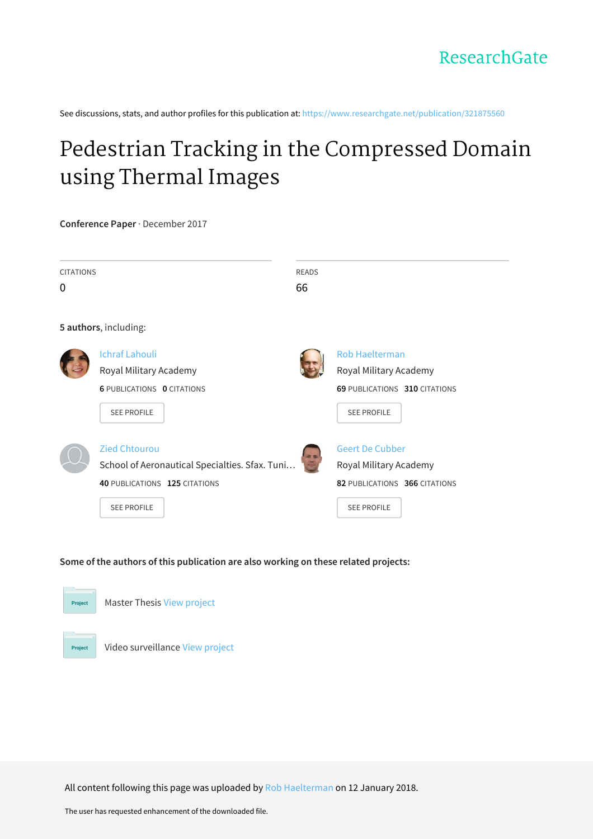See discussions, stats, and author profiles for this publication at: [https://www.researchgate.net/publication/321875560](https://www.researchgate.net/publication/321875560_Pedestrian_Tracking_in_the_Compressed_Domain_using_Thermal_Images?enrichId=rgreq-ae7b8bc5c6d658c40ec8df667bf80a43-XXX&enrichSource=Y292ZXJQYWdlOzMyMTg3NTU2MDtBUzo1ODIwNDY3NTAwNjg3MzdAMTUxNTc4MjE2Nzc5MQ%3D%3D&el=1_x_2&_esc=publicationCoverPdf)

# Pedestrian Tracking in the [Compressed](https://www.researchgate.net/publication/321875560_Pedestrian_Tracking_in_the_Compressed_Domain_using_Thermal_Images?enrichId=rgreq-ae7b8bc5c6d658c40ec8df667bf80a43-XXX&enrichSource=Y292ZXJQYWdlOzMyMTg3NTU2MDtBUzo1ODIwNDY3NTAwNjg3MzdAMTUxNTc4MjE2Nzc5MQ%3D%3D&el=1_x_3&_esc=publicationCoverPdf) Domain using Thermal Images

**Conference Paper** · December 2017

| <b>CITATIONS</b> |                                                | <b>READS</b> |                               |
|------------------|------------------------------------------------|--------------|-------------------------------|
| 0                |                                                | 66           |                               |
|                  |                                                |              |                               |
|                  | 5 authors, including:                          |              |                               |
|                  | <b>Ichraf Lahouli</b>                          |              | <b>Rob Haelterman</b>         |
|                  | Royal Military Academy                         |              | Royal Military Academy        |
|                  | <b>6 PUBLICATIONS 0 CITATIONS</b>              |              | 69 PUBLICATIONS 310 CITATIONS |
|                  | <b>SEE PROFILE</b>                             |              | <b>SEE PROFILE</b>            |
|                  | <b>Zied Chtourou</b>                           | 市野           | <b>Geert De Cubber</b>        |
|                  | School of Aeronautical Specialties. Sfax. Tuni |              | Royal Military Academy        |
|                  | 40 PUBLICATIONS 125 CITATIONS                  |              | 82 PUBLICATIONS 366 CITATIONS |
|                  | <b>SEE PROFILE</b>                             |              | <b>SEE PROFILE</b>            |
|                  |                                                |              |                               |
|                  |                                                |              |                               |

# **Some of the authors of this publication are also working on these related projects:**



Master Thesis View [project](https://www.researchgate.net/project/Master-Thesis-587?enrichId=rgreq-ae7b8bc5c6d658c40ec8df667bf80a43-XXX&enrichSource=Y292ZXJQYWdlOzMyMTg3NTU2MDtBUzo1ODIwNDY3NTAwNjg3MzdAMTUxNTc4MjE2Nzc5MQ%3D%3D&el=1_x_9&_esc=publicationCoverPdf)



Video surveillance View [project](https://www.researchgate.net/project/Video-surveillance?enrichId=rgreq-ae7b8bc5c6d658c40ec8df667bf80a43-XXX&enrichSource=Y292ZXJQYWdlOzMyMTg3NTU2MDtBUzo1ODIwNDY3NTAwNjg3MzdAMTUxNTc4MjE2Nzc5MQ%3D%3D&el=1_x_9&_esc=publicationCoverPdf)

All content following this page was uploaded by Rob [Haelterman](https://www.researchgate.net/profile/Rob_Haelterman?enrichId=rgreq-ae7b8bc5c6d658c40ec8df667bf80a43-XXX&enrichSource=Y292ZXJQYWdlOzMyMTg3NTU2MDtBUzo1ODIwNDY3NTAwNjg3MzdAMTUxNTc4MjE2Nzc5MQ%3D%3D&el=1_x_10&_esc=publicationCoverPdf) on 12 January 2018.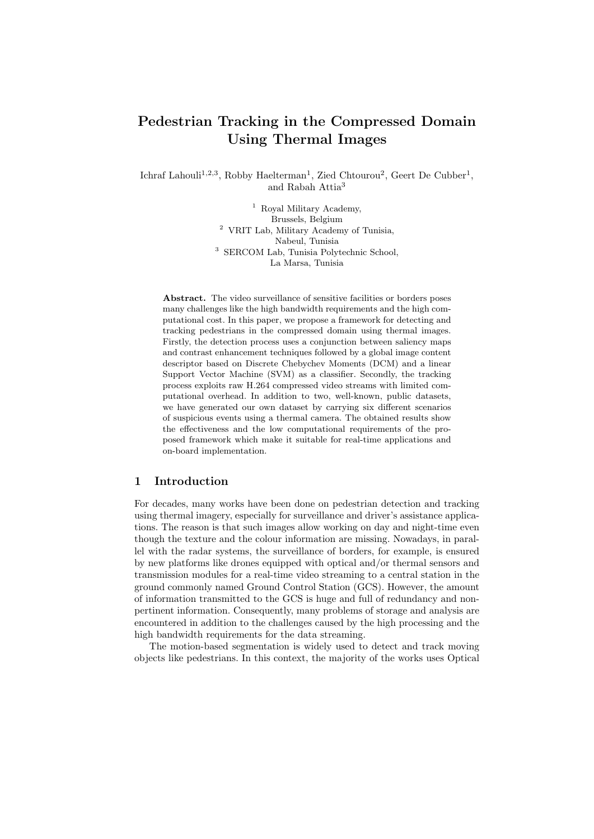# Pedestrian Tracking in the Compressed Domain Using Thermal Images

Ichraf Lahouli<sup>1,2,3</sup>, Robby Haelterman<sup>1</sup>, Zied Chtourou<sup>2</sup>, Geert De Cubber<sup>1</sup>, and Rabah Attia<sup>3</sup>

> <sup>1</sup> Royal Military Academy, Brussels, Belgium <sup>2</sup> VRIT Lab, Military Academy of Tunisia, Nabeul, Tunisia <sup>3</sup> SERCOM Lab, Tunisia Polytechnic School, La Marsa, Tunisia

Abstract. The video surveillance of sensitive facilities or borders poses many challenges like the high bandwidth requirements and the high computational cost. In this paper, we propose a framework for detecting and tracking pedestrians in the compressed domain using thermal images. Firstly, the detection process uses a conjunction between saliency maps and contrast enhancement techniques followed by a global image content descriptor based on Discrete Chebychev Moments (DCM) and a linear Support Vector Machine (SVM) as a classifier. Secondly, the tracking process exploits raw H.264 compressed video streams with limited computational overhead. In addition to two, well-known, public datasets, we have generated our own dataset by carrying six different scenarios of suspicious events using a thermal camera. The obtained results show the effectiveness and the low computational requirements of the proposed framework which make it suitable for real-time applications and on-board implementation.

### 1 Introduction

For decades, many works have been done on pedestrian detection and tracking using thermal imagery, especially for surveillance and driver's assistance applications. The reason is that such images allow working on day and night-time even though the texture and the colour information are missing. Nowadays, in parallel with the radar systems, the surveillance of borders, for example, is ensured by new platforms like drones equipped with optical and/or thermal sensors and transmission modules for a real-time video streaming to a central station in the ground commonly named Ground Control Station (GCS). However, the amount of information transmitted to the GCS is huge and full of redundancy and nonpertinent information. Consequently, many problems of storage and analysis are encountered in addition to the challenges caused by the high processing and the high bandwidth requirements for the data streaming.

The motion-based segmentation is widely used to detect and track moving objects like pedestrians. In this context, the majority of the works uses Optical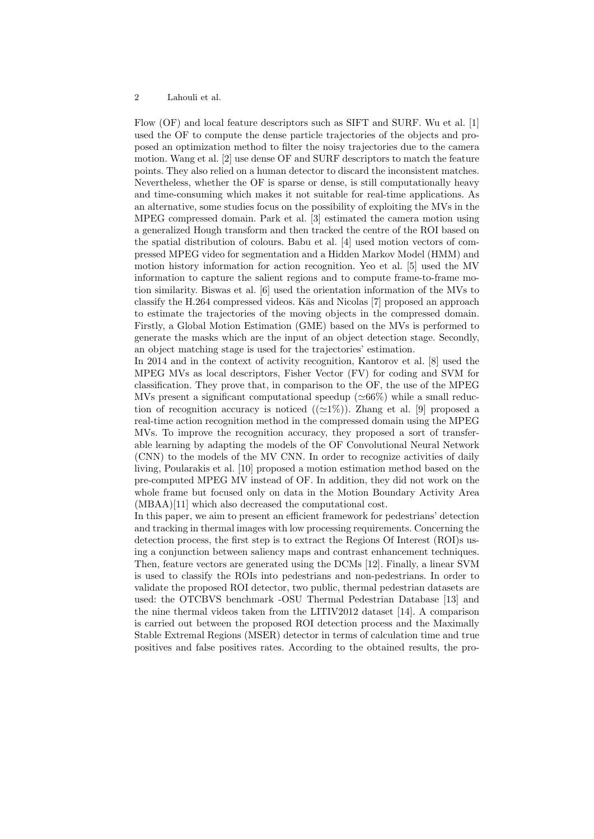Flow (OF) and local feature descriptors such as SIFT and SURF. Wu et al. [1] used the OF to compute the dense particle trajectories of the objects and proposed an optimization method to filter the noisy trajectories due to the camera motion. Wang et al. [2] use dense OF and SURF descriptors to match the feature points. They also relied on a human detector to discard the inconsistent matches. Nevertheless, whether the OF is sparse or dense, is still computationally heavy and time-consuming which makes it not suitable for real-time applications. As an alternative, some studies focus on the possibility of exploiting the MVs in the MPEG compressed domain. Park et al. [3] estimated the camera motion using a generalized Hough transform and then tracked the centre of the ROI based on the spatial distribution of colours. Babu et al. [4] used motion vectors of compressed MPEG video for segmentation and a Hidden Markov Model (HMM) and motion history information for action recognition. Yeo et al. [5] used the MV information to capture the salient regions and to compute frame-to-frame motion similarity. Biswas et al. [6] used the orientation information of the MVs to classify the H.264 compressed videos. Käs and Nicolas [7] proposed an approach to estimate the trajectories of the moving objects in the compressed domain. Firstly, a Global Motion Estimation (GME) based on the MVs is performed to generate the masks which are the input of an object detection stage. Secondly, an object matching stage is used for the trajectories' estimation.

In 2014 and in the context of activity recognition, Kantorov et al. [8] used the MPEG MVs as local descriptors, Fisher Vector (FV) for coding and SVM for classification. They prove that, in comparison to the OF, the use of the MPEG MVs present a significant computational speedup ( $\simeq 66\%$ ) while a small reduction of recognition accuracy is noticed  $((\simeq 1\%)$ . Zhang et al. [9] proposed a real-time action recognition method in the compressed domain using the MPEG MVs. To improve the recognition accuracy, they proposed a sort of transferable learning by adapting the models of the OF Convolutional Neural Network (CNN) to the models of the MV CNN. In order to recognize activities of daily living, Poularakis et al. [10] proposed a motion estimation method based on the pre-computed MPEG MV instead of OF. In addition, they did not work on the whole frame but focused only on data in the Motion Boundary Activity Area (MBAA)[11] which also decreased the computational cost.

In this paper, we aim to present an efficient framework for pedestrians' detection and tracking in thermal images with low processing requirements. Concerning the detection process, the first step is to extract the Regions Of Interest (ROI)s using a conjunction between saliency maps and contrast enhancement techniques. Then, feature vectors are generated using the DCMs [12]. Finally, a linear SVM is used to classify the ROIs into pedestrians and non-pedestrians. In order to validate the proposed ROI detector, two public, thermal pedestrian datasets are used: the OTCBVS benchmark -OSU Thermal Pedestrian Database [13] and the nine thermal videos taken from the LITIV2012 dataset [14]. A comparison is carried out between the proposed ROI detection process and the Maximally Stable Extremal Regions (MSER) detector in terms of calculation time and true positives and false positives rates. According to the obtained results, the pro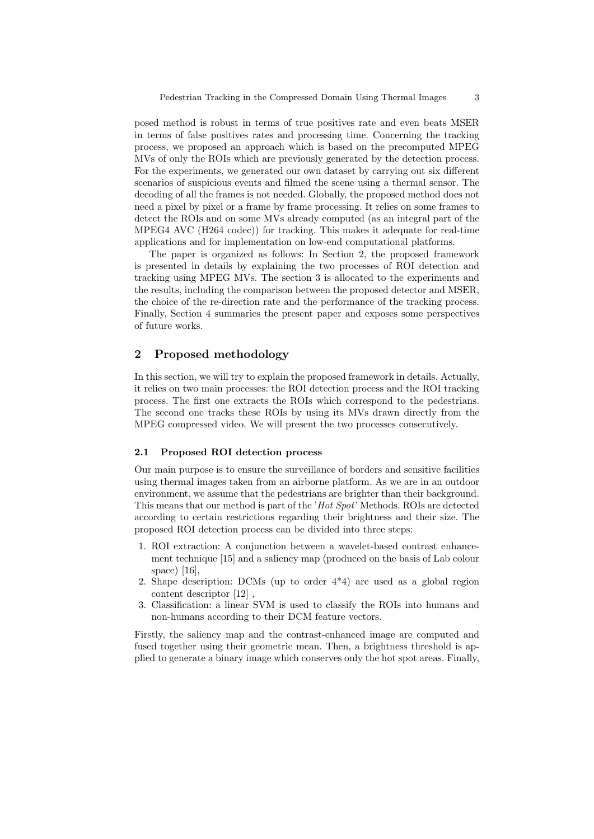posed method is robust in terms of true positives rate and even beats MSER in terms of false positives rates and processing time. Concerning the tracking process, we proposed an approach which is based on the precomputed MPEG MVs of only the ROIs which are previously generated by the detection process. For the experiments, we generated our own dataset by carrying out six different scenarios of suspicious events and filmed the scene using a thermal sensor. The decoding of all the frames is not needed. Globally, the proposed method does not need a pixel by pixel or a frame by frame processing. It relies on some frames to detect the ROIs and on some MVs already computed (as an integral part of the MPEG4 AVC (H264 codec)) for tracking. This makes it adequate for real-time applications and for implementation on low-end computational platforms.

The paper is organized as follows: In Section 2, the proposed framework is presented in details by explaining the two processes of ROI detection and tracking using MPEG MVs. The section 3 is allocated to the experiments and the results, including the comparison between the proposed detector and MSER, the choice of the re-direction rate and the performance of the tracking process. Finally, Section 4 summaries the present paper and exposes some perspectives of future works.

### 2 Proposed methodology

In this section, we will try to explain the proposed framework in details. Actually, it relies on two main processes: the ROI detection process and the ROI tracking process. The first one extracts the ROIs which correspond to the pedestrians. The second one tracks these ROIs by using its MVs drawn directly from the MPEG compressed video. We will present the two processes consecutively.

#### 2.1 Proposed ROI detection process

Our main purpose is to ensure the surveillance of borders and sensitive facilities using thermal images taken from an airborne platform. As we are in an outdoor environment, we assume that the pedestrians are brighter than their background. This means that our method is part of the 'Hot Spot' Methods. ROIs are detected according to certain restrictions regarding their brightness and their size. The proposed ROI detection process can be divided into three steps:

- 1. ROI extraction: A conjunction between a wavelet-based contrast enhancement technique [15] and a saliency map (produced on the basis of Lab colour space) [16],
- 2. Shape description: DCMs (up to order 4\*4) are used as a global region content descriptor [12]
- 3. Classification: a linear SVM is used to classify the ROIs into humans and non-humans according to their DCM feature vectors.

Firstly, the saliency map and the contrast-enhanced image are computed and fused together using their geometric mean. Then, a brightness threshold is applied to generate a binary image which conserves only the hot spot areas. Finally,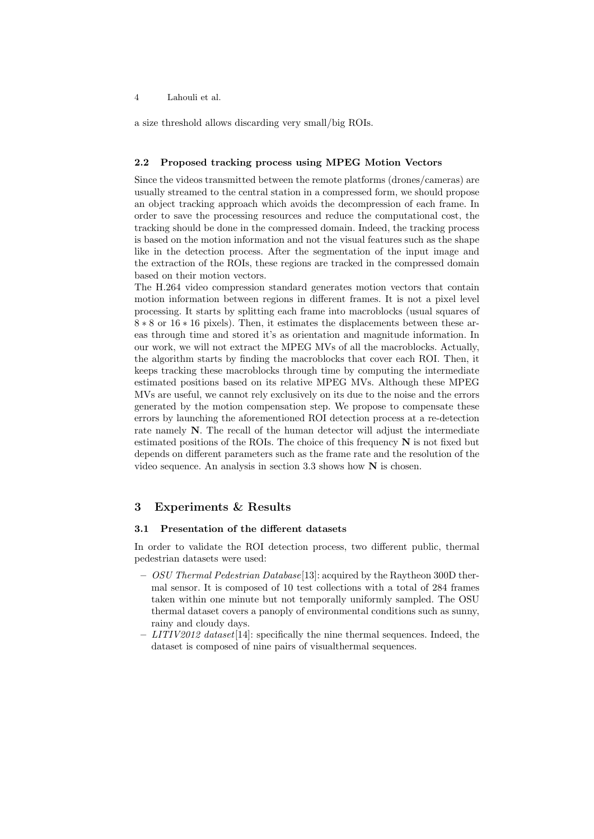#### 4 Lahouli et al.

a size threshold allows discarding very small/big ROIs.

#### 2.2 Proposed tracking process using MPEG Motion Vectors

Since the videos transmitted between the remote platforms (drones/cameras) are usually streamed to the central station in a compressed form, we should propose an object tracking approach which avoids the decompression of each frame. In order to save the processing resources and reduce the computational cost, the tracking should be done in the compressed domain. Indeed, the tracking process is based on the motion information and not the visual features such as the shape like in the detection process. After the segmentation of the input image and the extraction of the ROIs, these regions are tracked in the compressed domain based on their motion vectors.

The H.264 video compression standard generates motion vectors that contain motion information between regions in different frames. It is not a pixel level processing. It starts by splitting each frame into macroblocks (usual squares of 8 ∗ 8 or 16 ∗ 16 pixels). Then, it estimates the displacements between these areas through time and stored it's as orientation and magnitude information. In our work, we will not extract the MPEG MVs of all the macroblocks. Actually, the algorithm starts by finding the macroblocks that cover each ROI. Then, it keeps tracking these macroblocks through time by computing the intermediate estimated positions based on its relative MPEG MVs. Although these MPEG MVs are useful, we cannot rely exclusively on its due to the noise and the errors generated by the motion compensation step. We propose to compensate these errors by launching the aforementioned ROI detection process at a re-detection rate namely N. The recall of the human detector will adjust the intermediate estimated positions of the ROIs. The choice of this frequency  $N$  is not fixed but depends on different parameters such as the frame rate and the resolution of the video sequence. An analysis in section 3.3 shows how  $N$  is chosen.

# 3 Experiments & Results

#### 3.1 Presentation of the different datasets

In order to validate the ROI detection process, two different public, thermal pedestrian datasets were used:

- $-$  *OSU Thermal Pedestrian Database* [13]: acquired by the Raytheon 300D thermal sensor. It is composed of 10 test collections with a total of 284 frames taken within one minute but not temporally uniformly sampled. The OSU thermal dataset covers a panoply of environmental conditions such as sunny, rainy and cloudy days.
- $LITIV2012$  dataset [14]: specifically the nine thermal sequences. Indeed, the dataset is composed of nine pairs of visualthermal sequences.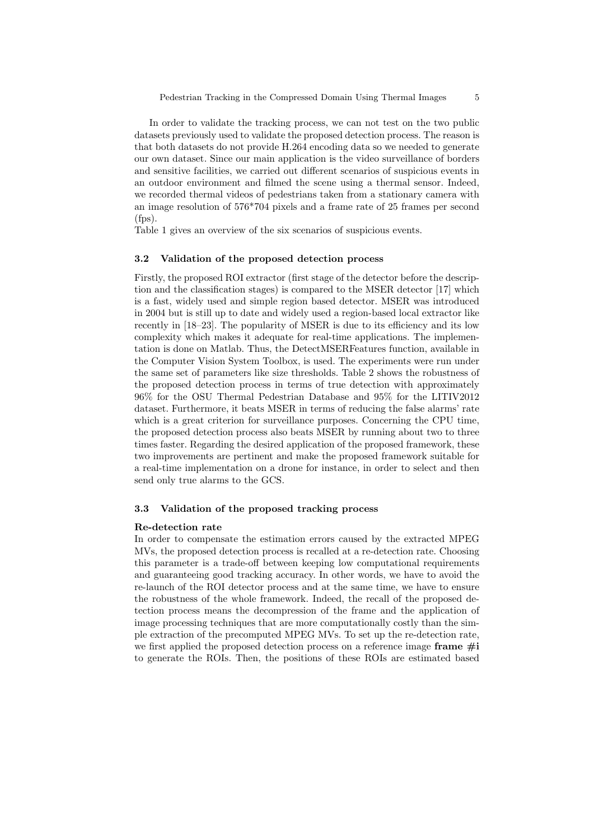In order to validate the tracking process, we can not test on the two public datasets previously used to validate the proposed detection process. The reason is that both datasets do not provide H.264 encoding data so we needed to generate our own dataset. Since our main application is the video surveillance of borders and sensitive facilities, we carried out different scenarios of suspicious events in an outdoor environment and filmed the scene using a thermal sensor. Indeed, we recorded thermal videos of pedestrians taken from a stationary camera with an image resolution of 576\*704 pixels and a frame rate of 25 frames per second (fps).

Table 1 gives an overview of the six scenarios of suspicious events.

#### 3.2 Validation of the proposed detection process

Firstly, the proposed ROI extractor (first stage of the detector before the description and the classification stages) is compared to the MSER detector [17] which is a fast, widely used and simple region based detector. MSER was introduced in 2004 but is still up to date and widely used a region-based local extractor like recently in [18–23]. The popularity of MSER is due to its efficiency and its low complexity which makes it adequate for real-time applications. The implementation is done on Matlab. Thus, the DetectMSERFeatures function, available in the Computer Vision System Toolbox, is used. The experiments were run under the same set of parameters like size thresholds. Table 2 shows the robustness of the proposed detection process in terms of true detection with approximately 96% for the OSU Thermal Pedestrian Database and 95% for the LITIV2012 dataset. Furthermore, it beats MSER in terms of reducing the false alarms' rate which is a great criterion for surveillance purposes. Concerning the CPU time, the proposed detection process also beats MSER by running about two to three times faster. Regarding the desired application of the proposed framework, these two improvements are pertinent and make the proposed framework suitable for a real-time implementation on a drone for instance, in order to select and then send only true alarms to the GCS.

#### 3.3 Validation of the proposed tracking process

#### Re-detection rate

In order to compensate the estimation errors caused by the extracted MPEG MVs, the proposed detection process is recalled at a re-detection rate. Choosing this parameter is a trade-off between keeping low computational requirements and guaranteeing good tracking accuracy. In other words, we have to avoid the re-launch of the ROI detector process and at the same time, we have to ensure the robustness of the whole framework. Indeed, the recall of the proposed detection process means the decompression of the frame and the application of image processing techniques that are more computationally costly than the simple extraction of the precomputed MPEG MVs. To set up the re-detection rate, we first applied the proposed detection process on a reference image frame  $\#\mathbf{i}$ to generate the ROIs. Then, the positions of these ROIs are estimated based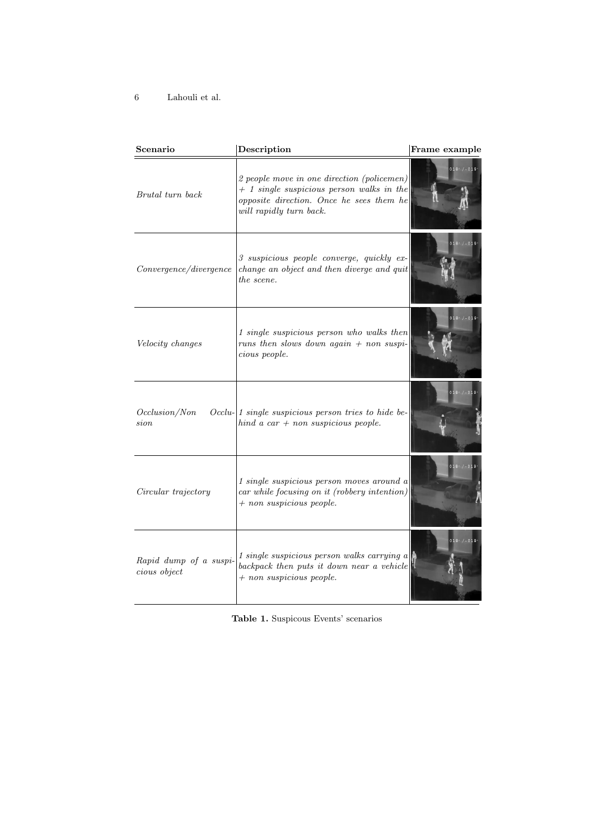6 Lahouli et al.

| Scenario                               | Description                                                                                                                                                      | Frame example             |
|----------------------------------------|------------------------------------------------------------------------------------------------------------------------------------------------------------------|---------------------------|
| Brutal turn back                       | 2 people move in one direction (policemen)<br>$+$ 1 single suspicious person walks in the<br>opposite direction. Once he sees them he<br>will rapidly turn back. | $018. / -019.$            |
| Convergence/divergence                 | 3 suspicious people converge, quickly ex-<br>change an object and then diverge and quit<br>the scene.                                                            | $018. / -019.$            |
| Velocity changes                       | 1 single suspicious person who walks then<br>runs then slows down again $+$ non suspi-<br>cious people.                                                          | $018°/-019°$              |
| Occlusion/Non<br>sion                  | Occlu- 1 single suspicious person tries to hide be-<br>hind a car + non suspicious people.                                                                       | $018 \cdot 7 - 019 \cdot$ |
| Circular trajectory                    | 1 single suspicious person moves around a<br>car while focusing on it (robbery intention)<br>$+$ non suspicious people.                                          | $018. / -019.$            |
| Rapid dump of a suspi-<br>cious object | 1 single suspicious person walks carrying a<br>backpack then puts it down near a vehicle<br>$+$ non suspicious people.                                           | $018' / -019'$            |

Table 1. Suspicous Events' scenarios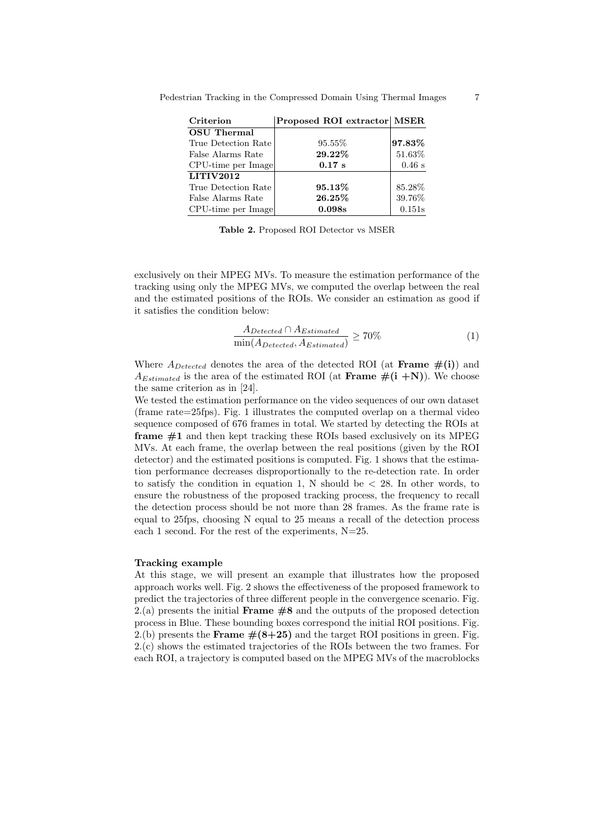| Criterion                      | Proposed ROI extractor MSER |          |
|--------------------------------|-----------------------------|----------|
| <b>OSU</b> Thermal             |                             |          |
| True Detection Rate            | 95.55%                      | 97.83%   |
| False Alarms Rate              | 29.22%                      | 51.63%   |
| CPU-time per Image             | $0.17$ s                    | $0.46$ s |
| $\overline{\text{LITIV}}$ 2012 |                             |          |
| True Detection Rate            | 95.13%                      | 85.28%   |
| False Alarms Rate              | 26.25%                      | 39.76%   |
| CPU-time per Image             | 0.098s                      | 0.151s   |

Table 2. Proposed ROI Detector vs MSER

exclusively on their MPEG MVs. To measure the estimation performance of the tracking using only the MPEG MVs, we computed the overlap between the real and the estimated positions of the ROIs. We consider an estimation as good if it satisfies the condition below:

$$
\frac{A_{Detected} \cap A_{Estimated}}{\min(A_{Detected}, A_{Estimated})} \ge 70\%
$$
\n(1)

Where  $A_{Detected}$  denotes the area of the detected ROI (at **Frame**  $\#(i)$ ) and  $A_{Estimated}$  is the area of the estimated ROI (at **Frame**  $\#(i + N)$ ). We choose the same criterion as in [24].

We tested the estimation performance on the video sequences of our own dataset (frame rate=25fps). Fig. 1 illustrates the computed overlap on a thermal video sequence composed of 676 frames in total. We started by detecting the ROIs at **frame**  $\#1$  and then kept tracking these ROIs based exclusively on its MPEG MVs. At each frame, the overlap between the real positions (given by the ROI detector) and the estimated positions is computed. Fig. 1 shows that the estimation performance decreases disproportionally to the re-detection rate. In order to satisfy the condition in equation 1, N should be  $\langle 28.$  In other words, to ensure the robustness of the proposed tracking process, the frequency to recall the detection process should be not more than 28 frames. As the frame rate is equal to 25fps, choosing N equal to 25 means a recall of the detection process each 1 second. For the rest of the experiments,  $N=25$ .

#### Tracking example

At this stage, we will present an example that illustrates how the proposed approach works well. Fig. 2 shows the effectiveness of the proposed framework to predict the trajectories of three different people in the convergence scenario. Fig.  $2(a)$  presents the initial **Frame**  $#8$  and the outputs of the proposed detection process in Blue. These bounding boxes correspond the initial ROI positions. Fig. 2.(b) presents the **Frame**  $\#(8+25)$  and the target ROI positions in green. Fig. 2.(c) shows the estimated trajectories of the ROIs between the two frames. For each ROI, a trajectory is computed based on the MPEG MVs of the macroblocks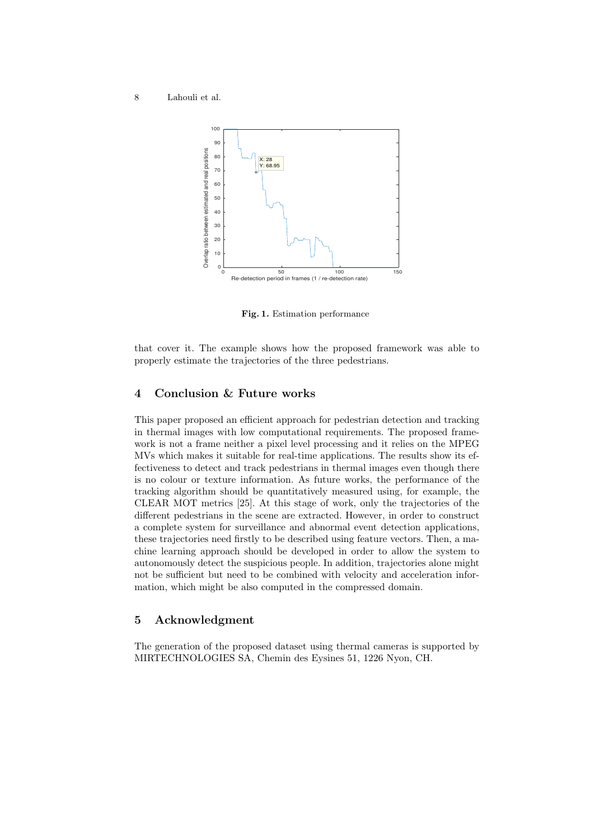

Fig. 1. Estimation performance

that cover it. The example shows how the proposed framework was able to properly estimate the trajectories of the three pedestrians.

# 4 Conclusion & Future works

This paper proposed an efficient approach for pedestrian detection and tracking in thermal images with low computational requirements. The proposed framework is not a frame neither a pixel level processing and it relies on the MPEG MVs which makes it suitable for real-time applications. The results show its effectiveness to detect and track pedestrians in thermal images even though there is no colour or texture information. As future works, the performance of the tracking algorithm should be quantitatively measured using, for example, the CLEAR MOT metrics [25]. At this stage of work, only the trajectories of the different pedestrians in the scene are extracted. However, in order to construct a complete system for surveillance and abnormal event detection applications, these trajectories need firstly to be described using feature vectors. Then, a machine learning approach should be developed in order to allow the system to autonomously detect the suspicious people. In addition, trajectories alone might not be sufficient but need to be combined with velocity and acceleration information, which might be also computed in the compressed domain.

#### 5 Acknowledgment

The generation of the proposed dataset using thermal cameras is supported by MIRTECHNOLOGIES SA, Chemin des Eysines 51, 1226 Nyon, CH.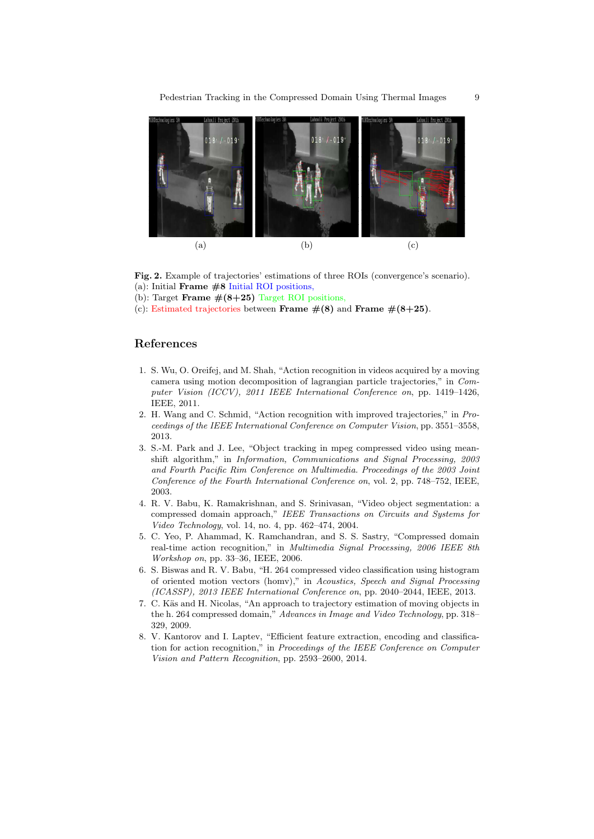

Fig. 2. Example of trajectories' estimations of three ROIs (convergence's scenario). (a): Initial **Frame**  $#8$  Initial ROI positions,

- (b): Target Frame  $\#(8+25)$  Target ROI positions,
- (c): Estimated trajectories between Frame  $\#(8)$  and Frame  $\#(8+25)$ .

# References

- 1. S. Wu, O. Oreifej, and M. Shah, "Action recognition in videos acquired by a moving camera using motion decomposition of lagrangian particle trajectories," in Computer Vision (ICCV), 2011 IEEE International Conference on, pp. 1419–1426, IEEE, 2011.
- 2. H. Wang and C. Schmid, "Action recognition with improved trajectories," in Proceedings of the IEEE International Conference on Computer Vision, pp. 3551–3558, 2013.
- 3. S.-M. Park and J. Lee, "Object tracking in mpeg compressed video using meanshift algorithm," in Information, Communications and Signal Processing, 2003 and Fourth Pacific Rim Conference on Multimedia. Proceedings of the 2003 Joint Conference of the Fourth International Conference on, vol. 2, pp. 748–752, IEEE, 2003.
- 4. R. V. Babu, K. Ramakrishnan, and S. Srinivasan, "Video object segmentation: a compressed domain approach," IEEE Transactions on Circuits and Systems for Video Technology, vol. 14, no. 4, pp. 462–474, 2004.
- 5. C. Yeo, P. Ahammad, K. Ramchandran, and S. S. Sastry, "Compressed domain real-time action recognition," in Multimedia Signal Processing, 2006 IEEE 8th Workshop on, pp. 33–36, IEEE, 2006.
- 6. S. Biswas and R. V. Babu, "H. 264 compressed video classification using histogram of oriented motion vectors (homv)," in Acoustics, Speech and Signal Processing (ICASSP), 2013 IEEE International Conference on, pp. 2040–2044, IEEE, 2013.
- 7. C. Käs and H. Nicolas, "An approach to trajectory estimation of moving objects in the h. 264 compressed domain," Advances in Image and Video Technology, pp. 318– 329, 2009.
- 8. V. Kantorov and I. Laptev, "Efficient feature extraction, encoding and classification for action recognition," in Proceedings of the IEEE Conference on Computer Vision and Pattern Recognition, pp. 2593–2600, 2014.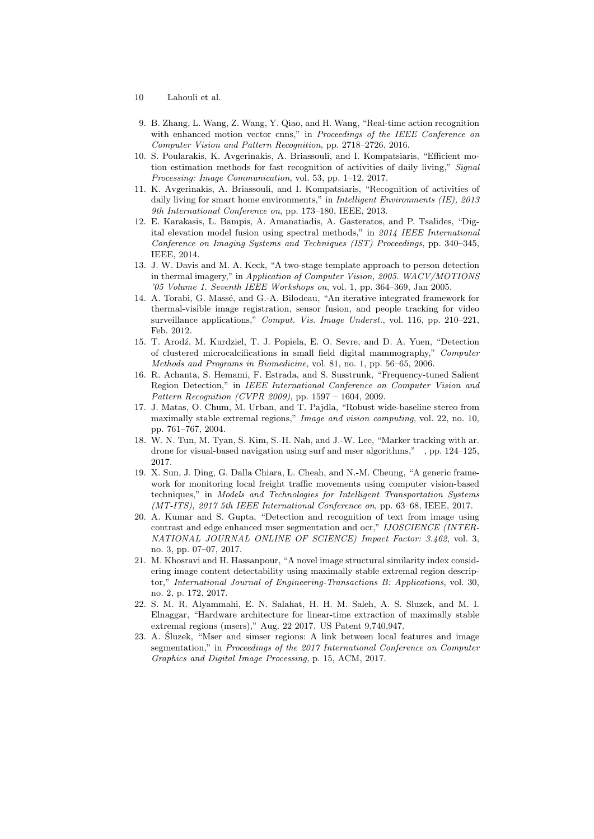- 10 Lahouli et al.
- 9. B. Zhang, L. Wang, Z. Wang, Y. Qiao, and H. Wang, "Real-time action recognition with enhanced motion vector cnns," in Proceedings of the IEEE Conference on Computer Vision and Pattern Recognition, pp. 2718–2726, 2016.
- 10. S. Poularakis, K. Avgerinakis, A. Briassouli, and I. Kompatsiaris, "Efficient motion estimation methods for fast recognition of activities of daily living," Signal Processing: Image Communication, vol. 53, pp. 1–12, 2017.
- 11. K. Avgerinakis, A. Briassouli, and I. Kompatsiaris, "Recognition of activities of daily living for smart home environments," in *Intelligent Environments (IE)*, 2013 9th International Conference on, pp. 173–180, IEEE, 2013.
- 12. E. Karakasis, L. Bampis, A. Amanatiadis, A. Gasteratos, and P. Tsalides, "Digital elevation model fusion using spectral methods," in 2014 IEEE International Conference on Imaging Systems and Techniques (IST) Proceedings, pp. 340–345, IEEE, 2014.
- 13. J. W. Davis and M. A. Keck, "A two-stage template approach to person detection in thermal imagery," in Application of Computer Vision, 2005. WACV/MOTIONS '05 Volume 1. Seventh IEEE Workshops on, vol. 1, pp. 364–369, Jan 2005.
- 14. A. Torabi, G. Massé, and G.-A. Bilodeau, "An iterative integrated framework for thermal-visible image registration, sensor fusion, and people tracking for video surveillance applications," Comput. Vis. Image Underst., vol. 116, pp. 210-221, Feb. 2012.
- 15. T. Arodź, M. Kurdziel, T. J. Popiela, E. O. Sevre, and D. A. Yuen, "Detection of clustered microcalcifications in small field digital mammography," Computer Methods and Programs in Biomedicine, vol. 81, no. 1, pp. 56–65, 2006.
- 16. R. Achanta, S. Hemami, F. Estrada, and S. Susstrunk, "Frequency-tuned Salient Region Detection," in IEEE International Conference on Computer Vision and Pattern Recognition (CVPR 2009), pp. 1597 – 1604, 2009.
- 17. J. Matas, O. Chum, M. Urban, and T. Pajdla, "Robust wide-baseline stereo from maximally stable extremal regions," *Image and vision computing*, vol. 22, no. 10, pp. 761–767, 2004.
- 18. W. N. Tun, M. Tyan, S. Kim, S.-H. Nah, and J.-W. Lee, "Marker tracking with ar. drone for visual-based navigation using surf and mser algorithms," , pp. 124–125, 2017.
- 19. X. Sun, J. Ding, G. Dalla Chiara, L. Cheah, and N.-M. Cheung, "A generic framework for monitoring local freight traffic movements using computer vision-based techniques," in Models and Technologies for Intelligent Transportation Systems (MT-ITS), 2017 5th IEEE International Conference on, pp. 63–68, IEEE, 2017.
- 20. A. Kumar and S. Gupta, "Detection and recognition of text from image using contrast and edge enhanced mser segmentation and ocr," IJOSCIENCE (INTER-NATIONAL JOURNAL ONLINE OF SCIENCE) Impact Factor: 3.462, vol. 3, no. 3, pp. 07–07, 2017.
- 21. M. Khosravi and H. Hassanpour, "A novel image structural similarity index considering image content detectability using maximally stable extremal region descriptor," International Journal of Engineering-Transactions B: Applications, vol. 30, no. 2, p. 172, 2017.
- 22. S. M. R. Alyammahi, E. N. Salahat, H. H. M. Saleh, A. S. Sluzek, and M. I. Elnaggar, "Hardware architecture for linear-time extraction of maximally stable extremal regions (msers)," Aug. 22 2017. US Patent 9,740,947.
- 23. A. Sluzek, "Mser and simser regions: A link between local features and image ´ segmentation," in Proceedings of the 2017 International Conference on Computer Graphics and Digital Image Processing, p. 15, ACM, 2017.